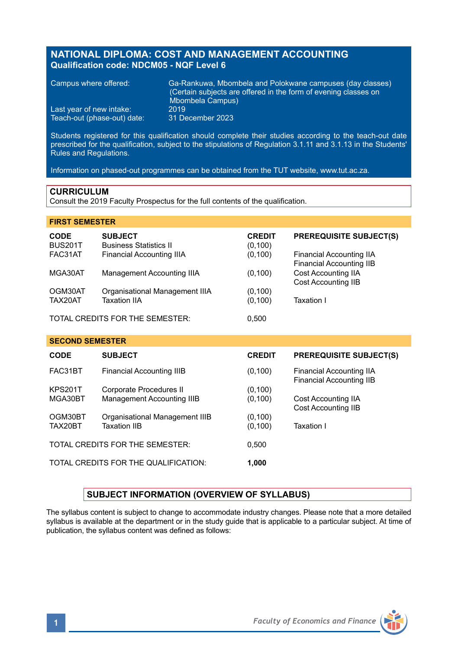# **NATIONAL DIPLOMA: COST AND MANAGEMENT ACCOUNTING Qualification code: NDCM05 - NQF Level 6**

| Campus where offered:       | Ga-Rankuwa. Mbombela and Polokwane campuses (day classes)<br>Certain subjects are offered in the form of evening classes on<br>Mbombela Campus) |
|-----------------------------|-------------------------------------------------------------------------------------------------------------------------------------------------|
| Last year of new intake:    | 2019                                                                                                                                            |
| Teach-out (phase-out) date: | 31 December 2023                                                                                                                                |

Students registered for this qualification should complete their studies according to the teach-out date prescribed for the qualification, subject to the stipulations of Regulation 3.1.11 and 3.1.13 in the Students' Rules and Regulations.

Information on phased-out programmes can be obtained from the TUT website, www.tut.ac.za.

# **CURRICULUM**

Consult the 2019 Faculty Prospectus for the full contents of the qualification.

### **FIRST SEMESTER**

| <b>CODE</b><br><b>BUS201T</b> | <b>SUBJECT</b><br><b>Business Statistics II</b> | <b>CREDIT</b><br>(0, 100) | <b>PREREQUISITE SUBJECT(S)</b>                       |
|-------------------------------|-------------------------------------------------|---------------------------|------------------------------------------------------|
| FAC31AT                       | Financial Accounting IIIA                       | (0, 100)                  | Financial Accounting IIA<br>Financial Accounting IIB |
| MGA30AT                       | Management Accounting IIIA                      | (0, 100)                  | Cost Accounting IIA<br>Cost Accounting IIB           |
| OGM30AT                       | Organisational Management IIIA                  | (0, 100)                  |                                                      |
| TAX20AT                       | <b>Taxation IIA</b>                             | (0, 100)                  | Taxation I                                           |
|                               |                                                 | - ---                     |                                                      |

TOTAL CREDITS FOR THE SEMESTER: 0,500

### **SECOND SEMESTER**

| <b>CODE</b>    | <b>SUBJECT</b>                       | <b>CREDIT</b> | <b>PREREQUISITE SUBJECT(S)</b>                       |
|----------------|--------------------------------------|---------------|------------------------------------------------------|
| FAC31BT        | Financial Accounting IIIB            | (0,100)       | Financial Accounting IIA<br>Financial Accounting IIB |
| <b>KPS201T</b> | Corporate Procedures II              | (0, 100)      |                                                      |
| MGA30BT        | Management Accounting IIIB           | (0, 100)      | Cost Accounting IIA<br><b>Cost Accounting IIB</b>    |
| OGM30BT        | Organisational Management IIIB       | (0, 100)      |                                                      |
| TAX20BT        | <b>Taxation IIB</b>                  | (0, 100)      | Taxation I                                           |
|                | TOTAL CREDITS FOR THE SEMESTER:      | 0.500         |                                                      |
|                | TOTAL CREDITS FOR THE QUALIFICATION: | 1,000         |                                                      |

# **SUBJECT INFORMATION (OVERVIEW OF SYLLABUS)**

The syllabus content is subject to change to accommodate industry changes. Please note that a more detailed syllabus is available at the department or in the study guide that is applicable to a particular subject. At time of publication, the syllabus content was defined as follows:

**1** *Faculty of Economics and Finance*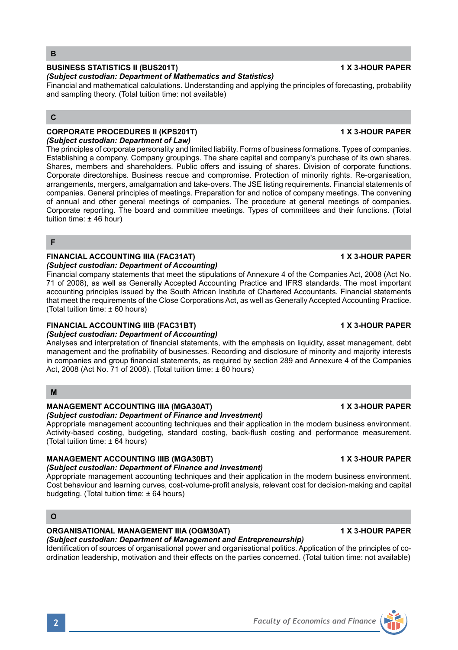## **BUSINESS STATISTICS II (BUS201T) 1 X 3-HOUR PAPER**

### *(Subject custodian: Department of Mathematics and Statistics)*

Financial and mathematical calculations. Understanding and applying the principles of forecasting, probability and sampling theory. (Total tuition time: not available)

# **C**

#### **CORPORATE PROCEDURES II (KPS201T) 1 X 3-HOUR PAPER** *(Subject custodian: Department of Law)*

The principles of corporate personality and limited liability. Forms of business formations. Types of companies. Establishing a company. Company groupings. The share capital and company's purchase of its own shares. Shares, members and shareholders. Public offers and issuing of shares. Division of corporate functions. Corporate directorships. Business rescue and compromise. Protection of minority rights. Re-organisation, arrangements, mergers, amalgamation and take-overs. The JSE listing requirements. Financial statements of companies. General principles of meetings. Preparation for and notice of company meetings. The convening of annual and other general meetings of companies. The procedure at general meetings of companies. Corporate reporting. The board and committee meetings. Types of committees and their functions. (Total tuition time: ± 46 hour)

#### **F**

#### **FINANCIAL ACCOUNTING IIIA (FAC31AT) 1 X 3-HOUR PAPER** *(Subject custodian: Department of Accounting)*

Financial company statements that meet the stipulations of Annexure 4 of the Companies Act, 2008 (Act No. 71 of 2008), as well as Generally Accepted Accounting Practice and IFRS standards. The most important accounting principles issued by the South African Institute of Chartered Accountants. Financial statements that meet the requirements of the Close Corporations Act, as well as Generally Accepted Accounting Practice. (Total tuition time: ± 60 hours)

### **FINANCIAL ACCOUNTING IIIB (FAC31BT) 1 X 3-HOUR PAPER**

### *(Subject custodian: Department of Accounting)*

Analyses and interpretation of financial statements, with the emphasis on liquidity, asset management, debt management and the profitability of businesses. Recording and disclosure of minority and majority interests in companies and group financial statements, as required by section 289 and Annexure 4 of the Companies Act, 2008 (Act No. 71 of 2008). (Total tuition time: ± 60 hours)

### **M**

## **MANAGEMENT ACCOUNTING IIIA (MGA30AT) 1 X 3-HOUR PAPER**

*(Subject custodian: Department of Finance and Investment)* Appropriate management accounting techniques and their application in the modern business environment. Activity-based costing, budgeting, standard costing, back-flush costing and performance measurement. (Total tuition time: ± 64 hours)

# **MANAGEMENT ACCOUNTING IIIB (MGA30BT) 1 X 3-HOUR PAPER**

### *(Subject custodian: Department of Finance and Investment)*

Appropriate management accounting techniques and their application in the modern business environment. Cost behaviour and learning curves, cost-volume-profit analysis, relevant cost for decision-making and capital budgeting. (Total tuition time: ± 64 hours)

# **O**

### **ORGANISATIONAL MANAGEMENT IIIA (OGM30AT) 1 X 3-HOUR PAPER**

*(Subject custodian: Department of Management and Entrepreneurship)* Identification of sources of organisational power and organisational politics. Application of the principles of coordination leadership, motivation and their effects on the parties concerned. (Total tuition time: not available)